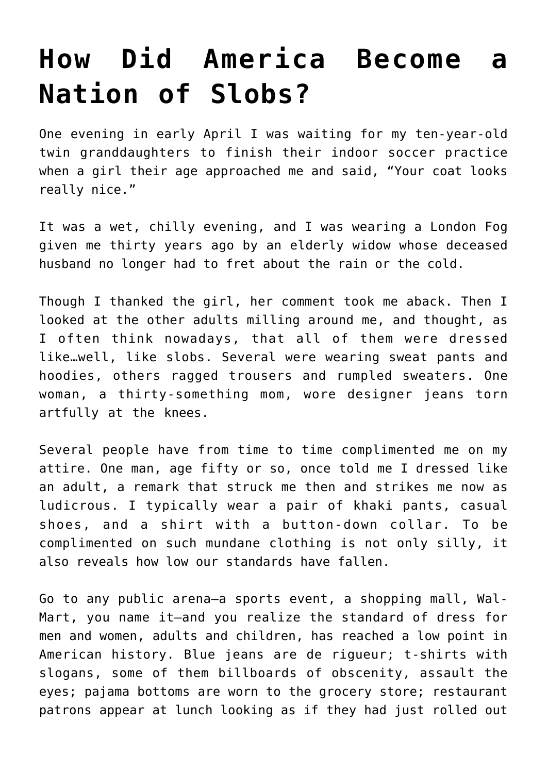## **[How Did America Become a](https://intellectualtakeout.org/2018/06/how-did-america-become-a-nation-of-slobs/) [Nation of Slobs?](https://intellectualtakeout.org/2018/06/how-did-america-become-a-nation-of-slobs/)**

One evening in early April I was waiting for my ten-year-old twin granddaughters to finish their indoor soccer practice when a girl their age approached me and said, "Your coat looks really nice."

It was a wet, chilly evening, and I was wearing a London Fog given me thirty years ago by an elderly widow whose deceased husband no longer had to fret about the rain or the cold.

Though I thanked the girl, her comment took me aback. Then I looked at the other adults milling around me, and thought, as I often think nowadays, that all of them were dressed like…well, like slobs. Several were wearing sweat pants and hoodies, others ragged trousers and rumpled sweaters. One woman, a thirty-something mom, wore designer jeans torn artfully at the knees.

Several people have from time to time complimented me on my attire. One man, age fifty or so, once told me I dressed like an adult, a remark that struck me then and strikes me now as ludicrous. I typically wear a pair of khaki pants, casual shoes, and a shirt with a button-down collar. To be complimented on such mundane clothing is not only silly, it also reveals how low our standards have fallen.

Go to any public arena—a sports event, a shopping mall, Wal-Mart, you name it—and you realize the standard of dress for men and women, adults and children, has reached a low point in American history. Blue jeans are de rigueur; t-shirts with slogans, some of them billboards of obscenity, assault the eyes; pajama bottoms are worn to the grocery store; restaurant patrons appear at lunch looking as if they had just rolled out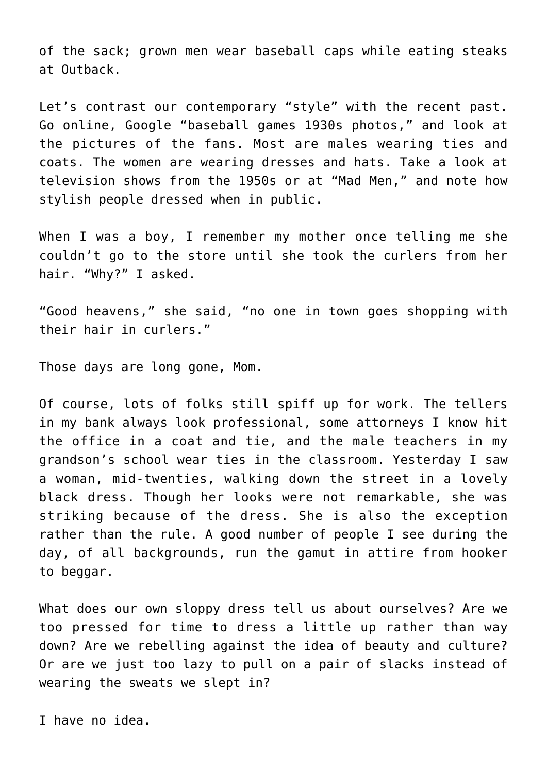of the sack; grown men wear baseball caps while eating steaks at Outback.

Let's contrast our contemporary "style" with the recent past. Go online, Google "baseball games 1930s photos," and look at the pictures of the fans. Most are males wearing ties and coats. The women are wearing dresses and hats. Take a look at television shows from the 1950s or at "Mad Men," and note how stylish people dressed when in public.

When I was a boy, I remember my mother once telling me she couldn't go to the store until she took the curlers from her hair. "Why?" I asked.

"Good heavens," she said, "no one in town goes shopping with their hair in curlers."

Those days are long gone, Mom.

Of course, lots of folks still spiff up for work. The tellers in my bank always look professional, some attorneys I know hit the office in a coat and tie, and the male teachers in my grandson's school wear ties in the classroom. Yesterday I saw a woman, mid-twenties, walking down the street in a lovely black dress. Though her looks were not remarkable, she was striking because of the dress. She is also the exception rather than the rule. A good number of people I see during the day, of all backgrounds, run the gamut in attire from hooker to beggar.

What does our own sloppy dress tell us about ourselves? Are we too pressed for time to dress a little up rather than way down? Are we rebelling against the idea of beauty and culture? Or are we just too lazy to pull on a pair of slacks instead of wearing the sweats we slept in?

I have no idea.